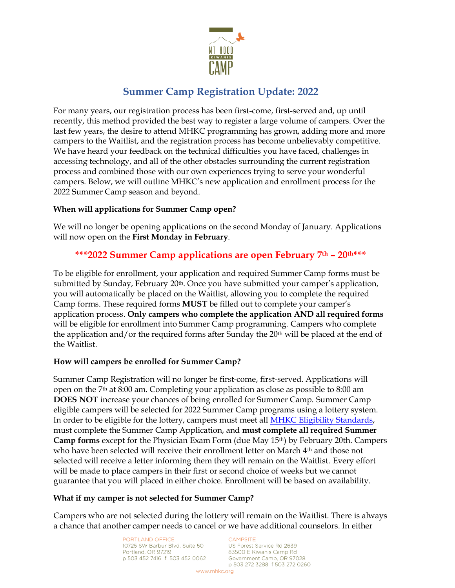

# **Summer Camp Registration Update: 2022**

For many years, our registration process has been first-come, first-served and, up until recently, this method provided the best way to register a large volume of campers. Over the last few years, the desire to attend MHKC programming has grown, adding more and more campers to the Waitlist, and the registration process has become unbelievably competitive. We have heard your feedback on the technical difficulties you have faced, challenges in accessing technology, and all of the other obstacles surrounding the current registration process and combined those with our own experiences trying to serve your wonderful campers. Below, we will outline MHKC's new application and enrollment process for the 2022 Summer Camp season and beyond.

## **When will applications for Summer Camp open?**

We will no longer be opening applications on the second Monday of January. Applications will now open on the **First Monday in February**.

## **\*\*\*2022 Summer Camp applications are open February 7th – 20th\*\*\***

To be eligible for enrollment, your application and required Summer Camp forms must be submitted by Sunday, February  $20<sup>th</sup>$ . Once you have submitted your camper's application, you will automatically be placed on the Waitlist, allowing you to complete the required Camp forms. These required forms **MUST** be filled out to complete your camper's application process. **Only campers who complete the application AND all required forms** will be eligible for enrollment into Summer Camp programming. Campers who complete the application and/or the required forms after Sunday the  $20<sup>th</sup>$  will be placed at the end of the Waitlist.

## **How will campers be enrolled for Summer Camp?**

Summer Camp Registration will no longer be first-come, first-served. Applications will open on the 7th at 8:00 am. Completing your application as close as possible to 8:00 am **DOES NOT** increase your chances of being enrolled for Summer Camp. Summer Camp eligible campers will be selected for 2022 Summer Camp programs using a lottery system. In order to be eligible for the lottery, campers must meet all **MHKC Eligibility Standards**, must complete the Summer Camp Application, and **must complete all required Summer Camp forms** except for the Physician Exam Form (due May 15th) by February 20th. Campers who have been selected will receive their enrollment letter on March 4<sup>th</sup> and those not selected will receive a letter informing them they will remain on the Waitlist. Every effort will be made to place campers in their first or second choice of weeks but we cannot guarantee that you will placed in either choice. Enrollment will be based on availability.

### **What if my camper is not selected for Summer Camp?**

Campers who are not selected during the lottery will remain on the Waitlist. There is always a chance that another camper needs to cancel or we have additional counselors. In either

> PORTLAND OFFICE 10725 SW Barbur Blvd. Suite 50 Portland, OR 97219 p 503 452 7416 f 503 452 0062

#### CAMPSITE

US Forest Service Rd 2639 83500 E Kiwanis Camp Rd Government Camp, OR 97028 p 503 272 3288 f 503 272 0260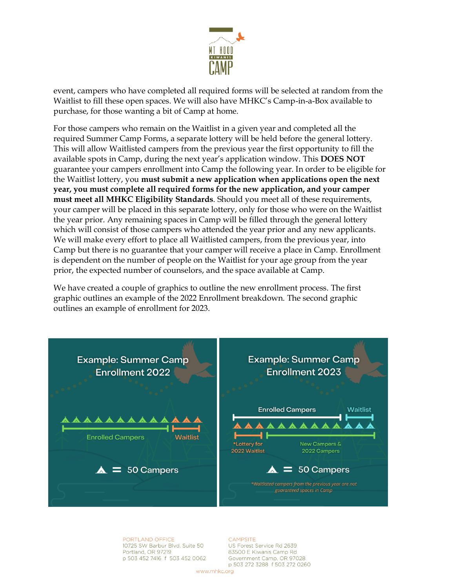

event, campers who have completed all required forms will be selected at random from the Waitlist to fill these open spaces. We will also have MHKC's Camp-in-a-Box available to purchase, for those wanting a bit of Camp at home.

For those campers who remain on the Waitlist in a given year and completed all the required Summer Camp Forms, a separate lottery will be held before the general lottery. This will allow Waitlisted campers from the previous year the first opportunity to fill the available spots in Camp, during the next year's application window. This **DOES NOT** guarantee your campers enrollment into Camp the following year. In order to be eligible for the Waitlist lottery, you **must submit a new application when applications open the next year, you must complete all required forms for the new application, and your camper must meet all MHKC Eligibility Standards**. Should you meet all of these requirements, your camper will be placed in this separate lottery, only for those who were on the Waitlist the year prior. Any remaining spaces in Camp will be filled through the general lottery which will consist of those campers who attended the year prior and any new applicants. We will make every effort to place all Waitlisted campers, from the previous year, into Camp but there is no guarantee that your camper will receive a place in Camp. Enrollment is dependent on the number of people on the Waitlist for your age group from the year prior, the expected number of counselors, and the space available at Camp.

We have created a couple of graphics to outline the new enrollment process. The first graphic outlines an example of the 2022 Enrollment breakdown. The second graphic outlines an example of enrollment for 2023.



PORTLAND OFFICE 10725 SW Barbur Blvd. Suite 50 Portland, OR 97219 p 503 452 7416 f 503 452 0062

#### **CAMPSITE**

US Forest Service Rd 2639 83500 E Kiwanis Camp Rd Government Camp, OR 97028 p 503 272 3288 f 503 272 0260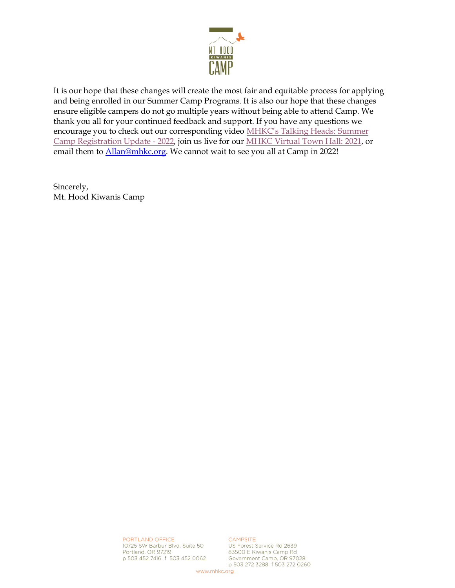

It is our hope that these changes will create the most fair and equitable process for applying and being enrolled in our Summer Camp Programs. It is also our hope that these changes ensure eligible campers do not go multiple years without being able to attend Camp. We thank you all for your continued feedback and support. If you have any questions we encourage you to check out our corresponding video [MHKC's Talking Heads:](https://youtu.be/p-1rXBLGHis) Summer [Camp Registration Update](https://youtu.be/p-1rXBLGHis) - 2022, join us live for our [MHKC Virtual Town Hall: 2021,](https://mhkcc.ejoinme.org/MyEvents/MHKCVirtualTownHall2021/tabid/1261188/Default.aspx) or email them t[o Allan@mhkc.org.](mailto:Allan@mhkc.org) We cannot wait to see you all at Camp in 2022!

Sincerely, Mt. Hood Kiwanis Camp

> PORTLAND OFFICE 10725 SW Barbur Blvd. Suite 50 Portland, OR 97219 p 503 452 7416 f 503 452 0062

CAMPSITE

US Forest Service Rd 2639 83500 E Kiwanis Camp Rd Government Camp, OR 97028 p 503 272 3288 f 503 272 0260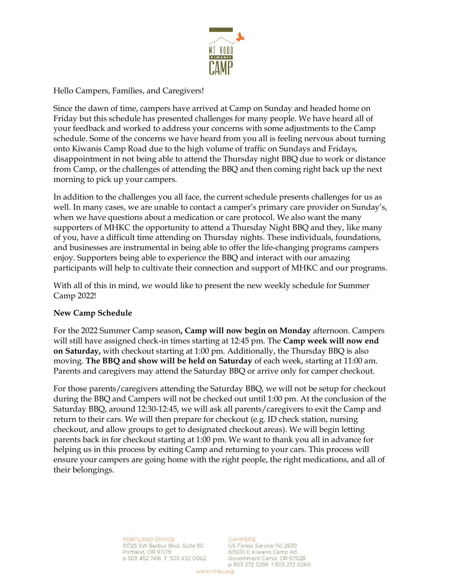

Hello Campers, Families, and Caregivers!

Since the dawn of time, campers have arrived at Camp on Sunday and headed home on Friday but this schedule has presented challenges for many people. We have heard all of your feedback and worked to address your concerns with some adjustments to the Camp schedule. Some of the concerns we have heard from you all is feeling nervous about turning onto Kiwanis Camp Road due to the high volume of traffic on Sundays and Fridays, disappointment in not being able to attend the Thursday night BBQ due to work or distance from Camp, or the challenges of attending the BBQ and then coming right back up the next morning to pick up your campers.

In addition to the challenges you all face, the current schedule presents challenges for us as well. In many cases, we are unable to contact a camper's primary care provider on Sunday's, when we have questions about a medication or care protocol. We also want the many supporters of MHKC the opportunity to attend a Thursday Night BBQ and they, like many of you, have a difficult time attending on Thursday nights. These individuals, foundations, and businesses are instrumental in being able to offer the life-changing programs campers enjoy. Supporters being able to experience the BBQ and interact with our amazing participants will help to cultivate their connection and support of MHKC and our programs.

With all of this in mind, we would like to present the new weekly schedule for Summer Camp 2022!

### **New Camp Schedule**

For the 2022 Summer Camp season**, Camp will now begin on Monday** afternoon. Campers will still have assigned check-in times starting at 12:45 pm. The **Camp week will now end on Saturday,** with checkout starting at 1:00 pm. Additionally, the Thursday BBQ is also moving. **The BBQ and show will be held on Saturday** of each week, starting at 11:00 am. Parents and caregivers may attend the Saturday BBQ or arrive only for camper checkout.

For those parents/caregivers attending the Saturday BBQ, we will not be setup for checkout during the BBQ and Campers will not be checked out until 1:00 pm. At the conclusion of the Saturday BBQ, around 12:30-12:45, we will ask all parents/caregivers to exit the Camp and return to their cars. We will then prepare for checkout (e.g. ID check station, nursing checkout, and allow groups to get to designated checkout areas). We will begin letting parents back in for checkout starting at 1:00 pm. We want to thank you all in advance for helping us in this process by exiting Camp and returning to your cars. This process will ensure your campers are going home with the right people, the right medications, and all of their belongings.

> PORTLAND OFFICE 10725 SW Barbur Blvd. Suite 50 Portland, OR 97219 p 503 452 7416 f 503 452 0062

#### CAMPSITE

US Forest Service Rd 2639 83500 E Kiwanis Camp Rd Government Camp, OR 97028 p 503 272 3288 f 503 272 0260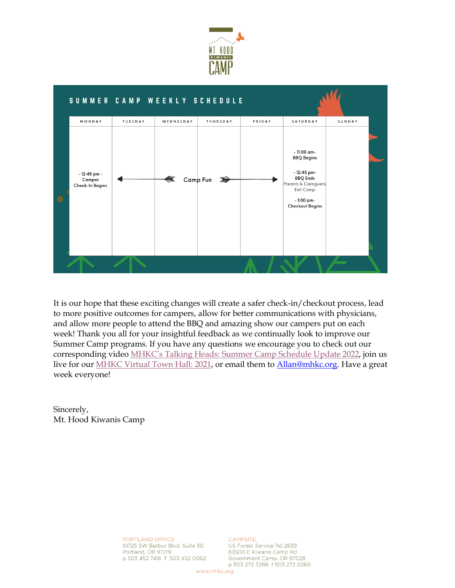



It is our hope that these exciting changes will create a safer check-in/checkout process, lead to more positive outcomes for campers, allow for better communications with physicians, and allow more people to attend the BBQ and amazing show our campers put on each week! Thank you all for your insightful feedback as we continually look to improve our Summer Camp programs. If you have any questions we encourage you to check out our corresponding video [MHKC's Talking Heads: Summer Camp Sch](https://youtu.be/sg_RA73KyEg)edule Update 2022, join us live for our [MHKC Virtual Town Hall: 2021,](https://mhkcc.ejoinme.org/MyEvents/MHKCVirtualTownHall2021/tabid/1261188/Default.aspx) or email them to [Allan@mhkc.org.](mailto:Allan@mhkc.org) Have a great week everyone!

Sincerely, Mt. Hood Kiwanis Camp

> PORTLAND OFFICE 10725 SW Barbur Blvd. Suite 50 Portland, OR 97219 p 503 452 7416 f 503 452 0062

CAMPSITE US Forest Service Rd 2639 83500 E Kiwanis Camp Rd Government Camp, OR 97028 p 503 272 3288 f 503 272 0260